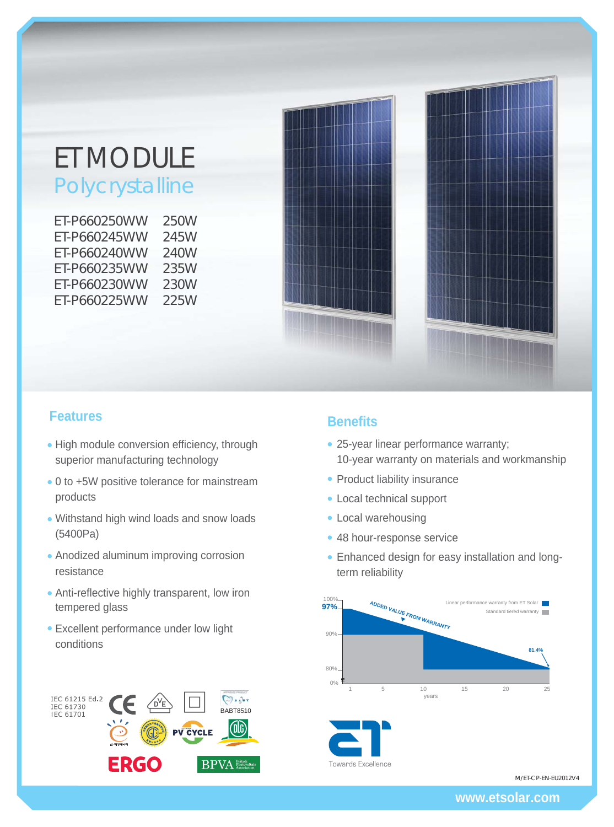# ET MODULE Polycrystalline

ET-P660250WW 250W ET-P660245WW 245W ET-P660240WW 240W ET-P660235WW 235W ET-P660230WW 230W ET-P660225WW 225W



- High module conversion efficiency, through superior manufacturing technology
- 0 to +5W positive tolerance for mainstream products
- Withstand high wind loads and snow loads (5400Pa)
- Anodized aluminum improving corrosion resistance
- Anti-reflective highly transparent, low iron tempered glass
- Excellent performance under low light conditions



## **Features Benefits**

- 25-year linear performance warranty; 10-year warranty on materials and workmanship
- Product liability insurance
- Local technical support
- Local warehousing
- 48 hour-response service
- Enhanced design for easy installation and longterm reliability



Towards Excellence

M/ET-CP-EN-EU2012V4